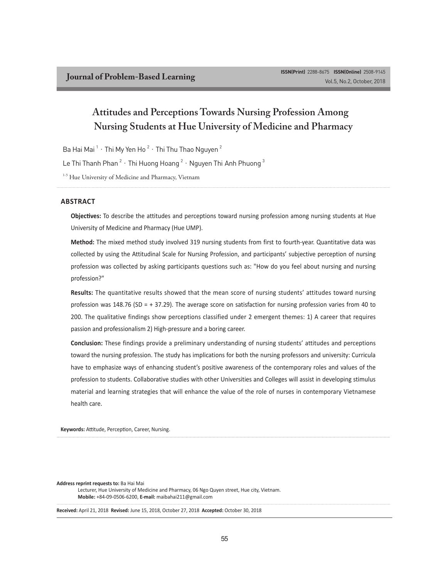# **Attitudes and Perceptions Towards Nursing Profession Among Nursing Students at Hue University of Medicine and Pharmacy**

Ba Hai Mai  $^1$   $\cdot$  Thi My Yen Ho  $^2$   $\cdot$  Thi Thu Thao Nguyen  $^2$ 

Le Thi Thanh Phan  $^2$   $\cdot$  Thi Huong Hoang  $^2$   $\cdot$  Nguyen Thi Anh Phuong  $^3$ 

<sup>1-3</sup> Hue University of Medicine and Pharmacy, Vietnam

#### **ABSTRACT**

**Objectives:** To describe the attitudes and perceptions toward nursing profession among nursing students at Hue University of Medicine and Pharmacy (Hue UMP).

**Method:** The mixed method study involved 319 nursing students from first to fourth-year. Quantitative data was collected by using the Attitudinal Scale for Nursing Profession, and participants' subjective perception of nursing profession was collected by asking participants questions such as: "How do you feel about nursing and nursing profession?"

**Results:** The quantitative results showed that the mean score of nursing students' attitudes toward nursing profession was 148.76 (SD = + 37.29). The average score on satisfaction for nursing profession varies from 40 to 200. The qualitative findings show perceptions classified under 2 emergent themes: 1) A career that requires passion and professionalism 2) High-pressure and a boring career.

**Conclusion:** These findings provide a preliminary understanding of nursing students' attitudes and perceptions toward the nursing profession. The study has implications for both the nursing professors and university: Curricula have to emphasize ways of enhancing student's positive awareness of the contemporary roles and values of the profession to students. Collaborative studies with other Universities and Colleges will assist in developing stimulus material and learning strategies that will enhance the value of the role of nurses in contemporary Vietnamese health care.

**Keywords:** Attitude, Perception, Career, Nursing.

**Address reprint requests to:** Ba Hai Mai Lecturer, Hue University of Medicine and Pharmacy, 06 Ngo Quyen street, Hue city, Vietnam. **Mobile:** +84-09-0506-6200, **E-mail:** maibahai211@gmail.com

**Received:** April 21, 2018 **Revised:** June 15, 2018, October 27, 2018 **Accepted:** October 30, 2018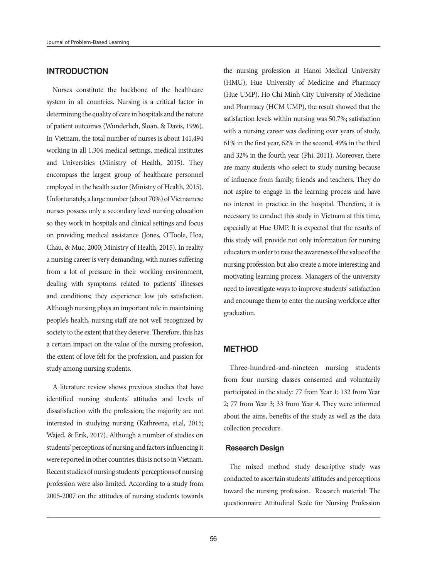### **INTRODUCTION**

Nurses constitute the backbone of the healthcare system in all countries. Nursing is a critical factor in determining the quality of care in hospitals and the nature of patient outcomes (Wunderlich, Sloan, & Davis, 1996). In Vietnam, the total number of nurses is about 141,494 working in all 1,304 medical settings, medical institutes and Universities (Ministry of Health, 2015). They encompass the largest group of healthcare personnel employed in the health sector (Ministry of Health, 2015). Unfortunately, a large number (about 70%) of Vietnamese nurses possess only a secondary level nursing education so they work in hospitals and clinical settings and focus on providing medical assistance (Jones, O'Toole, Hoa, Chau, & Muc, 2000; Ministry of Health, 2015). In reality a nursing career is very demanding, with nurses suffering from a lot of pressure in their working environment, dealing with symptoms related to patients' illnesses and conditions; they experience low job satisfaction. Although nursing plays an important role in maintaining people's health, nursing staff are not well recognized by society to the extent that they deserve. Therefore, this has a certain impact on the value of the nursing profession, the extent of love felt for the profession, and passion for study among nursing students.

A literature review shows previous studies that have identified nursing students' attitudes and levels of dissatisfaction with the profession; the majority are not interested in studying nursing (Kathreena, et.al, 2015; Wajed, & Erik, 2017). Although a number of studies on students' perceptions of nursing and factors influencing it were reported in other countries, this is not so in Vietnam. Recent studies of nursing students' perceptions of nursing profession were also limited. According to a study from 2005-2007 on the attitudes of nursing students towards

the nursing profession at Hanoi Medical University (HMU), Hue University of Medicine and Pharmacy (Hue UMP), Ho Chi Minh City University of Medicine and Pharmacy (HCM UMP), the result showed that the satisfaction levels within nursing was 50.7%; satisfaction with a nursing career was declining over years of study, 61% in the first year, 62% in the second, 49% in the third and 32% in the fourth year (Phi, 2011). Moreover, there are many students who select to study nursing because of influence from family, friends and teachers. They do not aspire to engage in the learning process and have no interest in practice in the hospital. Therefore, it is necessary to conduct this study in Vietnam at this time, especially at Hue UMP. It is expected that the results of this study will provide not only information for nursing educators in order to raise the awareness of the value of the nursing profession but also create a more interesting and motivating learning process. Managers of the university need to investigate ways to improve students' satisfaction and encourage them to enter the nursing workforce after graduation.

#### **METHOD**

Three-hundred-and-nineteen nursing students from four nursing classes consented and voluntarily participated in the study: 77 from Year 1; 132 from Year 2; 77 from Year 3; 33 from Year 4. They were informed about the aims, benefits of the study as well as the data collection procedure.

#### **Research Design**

The mixed method study descriptive study was conducted to ascertain students' attitudes and perceptions toward the nursing profession. Research material: The questionnaire Attitudinal Scale for Nursing Profession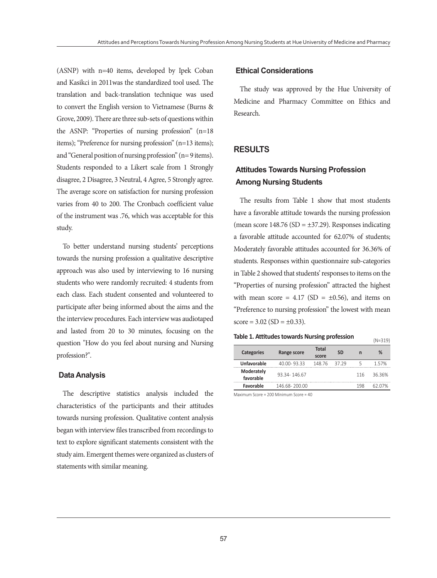(ASNP) with n=40 items, developed by Ipek Coban and Kasikci in 2011was the standardized tool used. The translation and back-translation technique was used to convert the English version to Vietnamese (Burns & Grove, 2009). There are three sub-sets of questions within the ASNP: "Properties of nursing profession" (n=18 items); "Preference for nursing profession" (n=13 items); and "General position of nursing profession" (n= 9 items). Students responded to a Likert scale from 1 Strongly disagree, 2 Disagree, 3 Neutral, 4 Agree, 5 Strongly agree. The average score on satisfaction for nursing profession varies from 40 to 200. The Cronbach coefficient value of the instrument was .76, which was acceptable for this study.

To better understand nursing students' perceptions towards the nursing profession a qualitative descriptive approach was also used by interviewing to 16 nursing students who were randomly recruited: 4 students from each class. Each student consented and volunteered to participate after being informed about the aims and the the interview procedures. Each interview was audiotaped and lasted from 20 to 30 minutes, focusing on the question "How do you feel about nursing and Nursing profession?".

#### **Data Analysis**

The descriptive statistics analysis included the characteristics of the participants and their attitudes towards nursing profession. Qualitative content analysis began with interview files transcribed from recordings to text to explore significant statements consistent with the study aim. Emergent themes were organized as clusters of statements with similar meaning.

#### **Ethical Considerations**

The study was approved by the Hue University of Medicine and Pharmacy Committee on Ethics and Research.

### **RESULTS**

## **Attitudes Towards Nursing Profession Among Nursing Students**

The results from Table 1 show that most students have a favorable attitude towards the nursing profession (mean score  $148.76$  (SD =  $\pm$ 37.29). Responses indicating a favorable attitude accounted for 62.07% of students; Moderately favorable attitudes accounted for 36.36% of students. Responses within questionnaire sub-categories in Table 2 showed that students' responses to items on the "Properties of nursing profession" attracted the highest with mean score =  $4.17$  (SD =  $\pm 0.56$ ), and items on "Preference to nursing profession" the lowest with mean  $score = 3.02 (SD = \pm 0.33).$ 

#### **Table 1. Attitudes towards Nursing profession** (N=319)

|                         |               |              |           |     | いマンエン  |
|-------------------------|---------------|--------------|-----------|-----|--------|
| Categories              | Range score   | <b>Total</b> | <b>SD</b> | n   | %      |
|                         |               | score        |           |     |        |
| Unfavorable             | 40 00-9333    | 148 76       | 37.29     |     | 1.57%  |
| Moderately<br>favorable | 93 34-146 67  |              |           | 116 | 3636%  |
| Favorable               | 146 68-200 00 |              |           | 198 | 62 07% |

Maximum Score = 200 Minimum Score = 40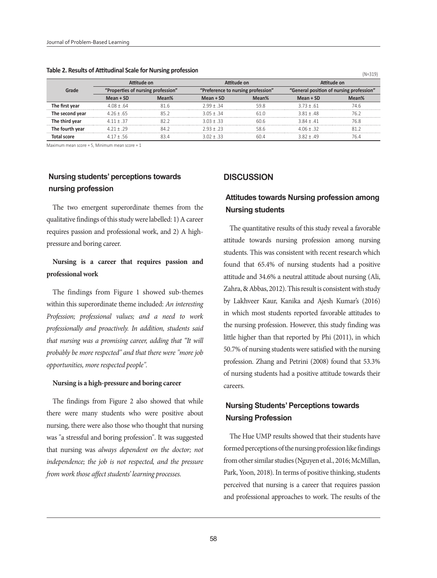|                 | Attitude on                        |       | Attitude on |                                    | Attitude on |                                          |  |
|-----------------|------------------------------------|-------|-------------|------------------------------------|-------------|------------------------------------------|--|
| Grade           | 'Properties of nursing profession" |       |             | "Preference to nursing profession" |             | "General position of nursing profession" |  |
|                 | Mean + SD                          | Mean% | $Mean + SD$ | Mean%                              | $Mean + SD$ | Mean%                                    |  |
| The first year  | 4 08 + 64                          | 81 R  | $799 + 34$  | 59.8                               | $373 + 61$  |                                          |  |
| The second vear | $476 + 65$                         |       | $3.05 + 34$ |                                    | $3.81 + 48$ | 76 :                                     |  |
| The third year  | $411 + 37$                         |       | $303 + 33$  |                                    | $3.84 + 41$ |                                          |  |
| The fourth year | $471 + 79$                         | 9Λ    | $793 + 73$  | 586                                | 406+32      |                                          |  |
| ntal score      |                                    |       | $302 + 33$  |                                    | 1 R I + 49  |                                          |  |

#### **Table 2. Results of Attitudinal Scale for Nursing profession** *(N=319)* **(N=319)**

Maximum mean score = 5, Minimum mean score =  $1$ 

## **Nursing students' perceptions towards nursing profession**

The two emergent superordinate themes from the qualitative findings of this study were labelled: 1) A career requires passion and professional work, and 2) A highpressure and boring career.

## **Nursing is a career that requires passion and professional work**

The findings from Figure 1 showed sub-themes within this superordinate theme included: *An interesting Profession; professional values; and a need to work professionally and proactively. In addition, students said that nursing was a promising career, adding that "It will probably be more respected" and that there were "more job opportunities, more respected people".*

#### **Nursing is a high-pressure and boring career**

The findings from Figure 2 also showed that while there were many students who were positive about nursing, there were also those who thought that nursing was "a stressful and boring profession". It was suggested that nursing was *always dependent on the doctor; not independence; the job is not respected, and the pressure from work those affect students' learning processes.*

#### **DISCUSSION**

## **Attitudes towards Nursing profession among Nursing students**

The quantitative results of this study reveal a favorable attitude towards nursing profession among nursing students. This was consistent with recent research which found that 65.4% of nursing students had a positive attitude and 34.6% a neutral attitude about nursing (Ali, Zahra, & Abbas, 2012). This result is consistent with study by Lakhveer Kaur, Kanika and Ajesh Kumar's (2016) in which most students reported favorable attitudes to the nursing profession. However, this study finding was little higher than that reported by Phi (2011), in which 50.7% of nursing students were satisfied with the nursing profession. Zhang and Petrini (2008) found that 53.3% of nursing students had a positive attitude towards their careers.

## **Nursing Students' Perceptions towards Nursing Profession**

The Hue UMP results showed that their students have formed perceptions of the nursing profession like findings from other similar studies (Nguyen et al., 2016; McMillan, Park, Yoon, 2018). In terms of positive thinking, students perceived that nursing is a career that requires passion and professional approaches to work. The results of the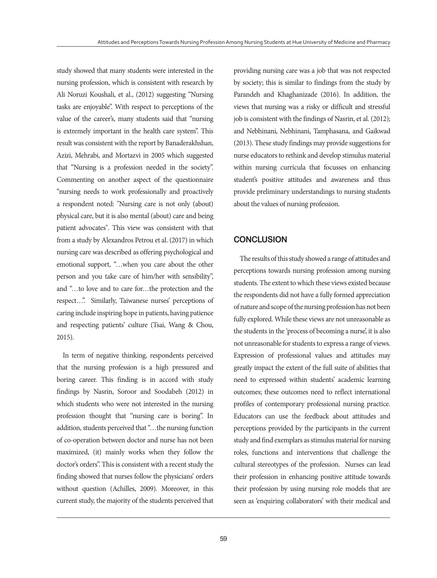study showed that many students were interested in the nursing profession, which is consistent with research by Ali Noruzi Koushali, et al., (2012) suggesting "Nursing tasks are enjoyable". With respect to perceptions of the value of the career's, many students said that "nursing is extremely important in the health care system". This result was consistent with the report by Banaderakhshan, Azizi, Mehrabi, and Mortazvi in 2005 which suggested that "Nursing is a profession needed in the society". Commenting on another aspect of the questionnaire "nursing needs to work professionally and proactively a respondent noted: "Nursing care is not only (about) physical care, but it is also mental (about) care and being patient advocates". This view was consistent with that from a study by Alexandros Petrou et al. (2017) in which nursing care was described as offering psychological and emotional support, "…when you care about the other person and you take care of him/her with sensibility", and "…to love and to care for…the protection and the respect…". Similarly, Taiwanese nurses' perceptions of caring include inspiring hope in patients, having patience and respecting patients' culture (Tsai, Wang & Chou, 2015).

In term of negative thinking, respondents perceived that the nursing profession is a high pressured and boring career. This finding is in accord with study findings by Nasrin, Soroor and Soodabeh (2012) in which students who were not interested in the nursing profession thought that "nursing care is boring". In addition, students perceived that "…the nursing function of co-operation between doctor and nurse has not been maximized, (it) mainly works when they follow the doctor's orders". This is consistent with a recent study the finding showed that nurses follow the physicians' orders without question (Achilles, 2009). Moreover, in this current study, the majority of the students perceived that

providing nursing care was a job that was not respected by society; this is similar to findings from the study by Parandeh and Khaghanizade (2016). In addition, the views that nursing was a risky or difficult and stressful job is consistent with the findings of Nasrin, et al. (2012); and Nebhinani, Nebhinani, Tamphasana, and Gaikwad (2013). These study findings may provide suggestions for nurse educators to rethink and develop stimulus material within nursing curricula that focusses on enhancing student's positive attitudes and awareness and thus provide preliminary understandings to nursing students about the values of nursing profession.

### **CONCLUSION**

The results of this study showed a range of attitudes and perceptions towards nursing profession among nursing students. The extent to which these views existed because the respondents did not have a fully formed appreciation of nature and scope of the nursing profession has not been fully explored. While these views are not unreasonable as the students in the 'process of becoming a nurse', it is also not unreasonable for students to express a range of views. Expression of professional values and attitudes may greatly impact the extent of the full suite of abilities that need to expressed within students' academic learning outcomes; these outcomes need to reflect international profiles of contemporary professional nursing practice. Educators can use the feedback about attitudes and perceptions provided by the participants in the current study and find exemplars as stimulus material for nursing roles, functions and interventions that challenge the cultural stereotypes of the profession. Nurses can lead their profession in enhancing positive attitude towards their profession by using nursing role models that are seen as 'enquiring collaborators' with their medical and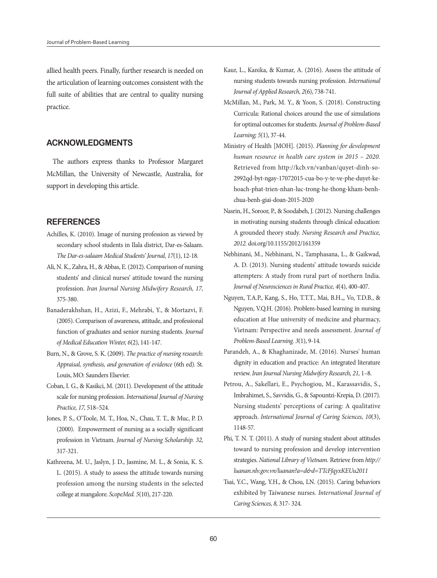allied health peers. Finally, further research is needed on the articulation of learning outcomes consistent with the full suite of abilities that are central to quality nursing practice.

### **ACKNOWLEDGMENTS**

The authors express thanks to Professor Margaret McMillan, the University of Newcastle, Australia, for support in developing this article.

### **REFERENCES**

- Achilles, K. (2010). Image of nursing profession as viewed by secondary school students in Ilala district, Dar-es-Salaam. *The Dar-es-salaam Medical Students' Journal, 17*(1), 12-18.
- Ali, N. K., Zahra, H., & Abbas, E. (2012). Comparison of nursing students' and clinical nurses' attitude toward the nursing profession. *Iran Journal Nursing Midwifery Research, 17,* 375-380.
- Banaderakhshan, H., Azizi, F., Mehrabi, Y., & Mortazvi, F. (2005). Comparison of awareness, attitude, and professional function of graduates and senior nursing students. *Journal of Medical Education Winter, 6*(2), 141-147.
- Burn, N., & Grove, S. K. (2009). *The practice of nursing research: Appraisal, synthesis, and generation of evidence* (6th ed). St. Louis, MO: Saunders Elsevier.
- Coban, I. G., & Kasikci, M. (2011). Development of the attitude scale for nursing profession. *International Journal of Nursing Practice, 17,* 518–524.
- Jones, P. S., O'Toole, M. T., Hoa, N., Chau, T. T., & Muc, P. D. (2000). Empowerment of nursing as a socially significant profession in Vietnam. *Journal of Nursing Scholarship. 32,* 317-321.
- Kathreena, M. U., Jaslyn, J. D., Jasmine, M. L., & Sonia, K. S. L. (2015). A study to assess the attitude towards nursing profession among the nursing students in the selected college at mangalore. *ScopeMed. 5*(10), 217-220.
- Kaur, L., Kanika, & Kumar, A. (2016). Assess the attitude of nursing students towards nursing profession. *International Journal of Applied Research, 2*(6), 738-741.
- McMillan, M., Park, M. Y., & Yoon, S. (2018). Constructing Curricula: Rational choices around the use of simulations for optimal outcomes for students. *Journal of Problem-Based Learning; 5*(1), 37-44.
- Ministry of Health [MOH]. (2015). *Planning for development human resource in health care system in 2015 – 2020.*  Retrieved from http://kcb.vn/vanban/quyet-dinh-so-2992qd-byt-ngay-17072015-cua-bo-y-te-ve-phe-duyet-kehoach-phat-trien-nhan-luc-trong-he-thong-kham-benhchua-benh-giai-doan-2015-2020
- Nasrin, H., Soroor, P., & Soodabeh, J. (2012). Nursing challenges in motivating nursing students through clinical education: A grounded theory study. *Nursing Research and Practice, 2012.* doi.org/10.1155/2012/161359
- Nebhinani, M., Nebhinani, N., Tamphasana, L., & Gaikwad, A. D. (2013). Nursing students' attitude towards suicide attempters: A study from rural part of northern India. *Journal of Neurosciences in Rural Practice, 4*(4), 400-407.
- Nguyen, T.A.P., Kang, S., Ho, T.T.T., Mai, B.H.,, Vo, T.D.B., & Nguyen, V.Q.H. (2016). Problem-based learning in nursing education at Hue university of medicine and pharmacy, Vietnam: Perspective and needs assessment. *Journal of Problem-Based Learning. 3*(1), 9-14.
- Parandeh, A., & Khaghanizade, M. (2016). Nurses' human dignity in education and practice: An integrated literature review. *Iran Journal Nursing Midwifery Research, 21,* 1–8.
- Petrou, A., Sakellari, E., Psychogiou, M., Karassavidis, S., Imbrahimet, S., Savvidis, G., & Sapountzi-Krepia, D. (2017). Nursing students' perceptions of caring: A qualitative approach. *International Journal of Caring Sciences, 10*(3), 1148-57.
- Phi, T. N. T. (2011). A study of nursing student about attitudes toward to nursing profession and develop intervention strategies. *National Library of Vietnam.* Retrieve from *http:// luanan.nlv.gov.vn/luanan?a=d&d=TTcFfqyxKEUu2011*
- Tsai, Y.C., Wang, Y.H., & Chou, LN. (2015). Caring behaviors exhibited by Taiwanese nurses. *International Journal of Caring Sciences, 8,* 317- 324.